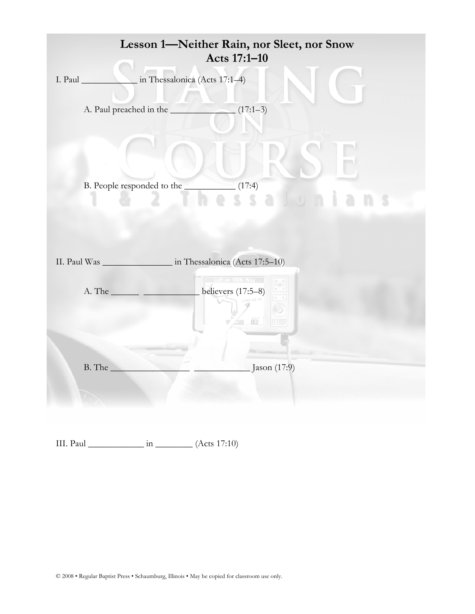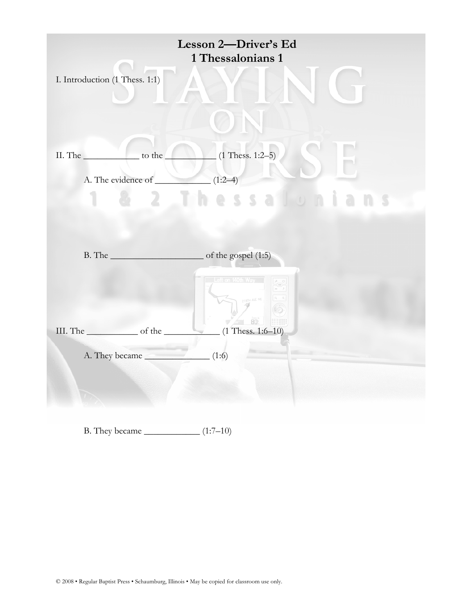|                                                                                                                                                                                                                                | Lesson 2-Driver's Ed<br>1 Thessalonians 1 |
|--------------------------------------------------------------------------------------------------------------------------------------------------------------------------------------------------------------------------------|-------------------------------------------|
| I. Introduction (1 Thess. 1:1)                                                                                                                                                                                                 |                                           |
|                                                                                                                                                                                                                                |                                           |
| $\overline{\phantom{a}}$ to the<br>II. The                                                                                                                                                                                     | $(1 \text{ Thesis. } 1:2-5)$              |
| A. The evidence of $(1:2-4)$                                                                                                                                                                                                   |                                           |
|                                                                                                                                                                                                                                | - 5<br>is a<br>5                          |
|                                                                                                                                                                                                                                |                                           |
|                                                                                                                                                                                                                                |                                           |
|                                                                                                                                                                                                                                |                                           |
|                                                                                                                                                                                                                                | Left on 140th Way                         |
|                                                                                                                                                                                                                                | AVE NE                                    |
| III. The settlement of the settlement of the settlement of the settlement of the settlement of the settlement of the settlement of the settlement of the settlement of the settlement of the settlement of the settlement of t | $\sqrt{2}$ 80<br>$(1$ Thess. 1:6-10)      |
| A. They became (1:6)                                                                                                                                                                                                           |                                           |
|                                                                                                                                                                                                                                |                                           |
|                                                                                                                                                                                                                                |                                           |
|                                                                                                                                                                                                                                |                                           |

B. They became  $\frac{1}{(1:7-10)}$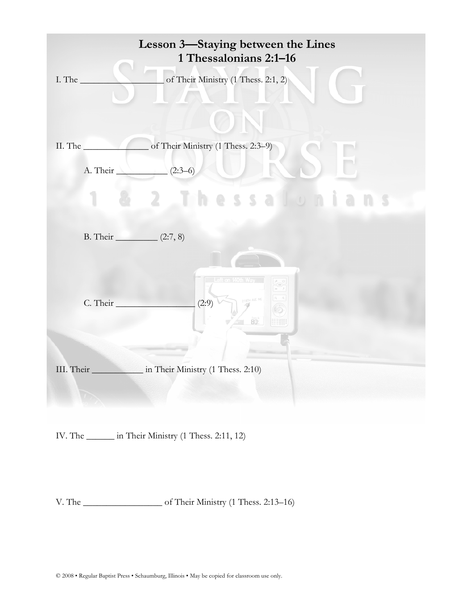| Lesson 3—Staying between the Lines<br>1 Thessalonians 2:1-16 |                                                               |  |  |  |  |
|--------------------------------------------------------------|---------------------------------------------------------------|--|--|--|--|
| I. The $\_\_$                                                | of Their Ministry (1 Thess. 2:1, 2)                           |  |  |  |  |
| II. The                                                      | of Their Ministry (1 Thess. 2:3-9)                            |  |  |  |  |
|                                                              | A. Their $(2:3-6)$                                            |  |  |  |  |
|                                                              | $2 - 1$ th<br>essalon                                         |  |  |  |  |
| B. Their ___________ $(2:7, 8)$                              |                                                               |  |  |  |  |
| C. Their                                                     | Left on 140th Way<br>218TH AVE NE<br>(2:9)<br>80.<br>:::::::: |  |  |  |  |
|                                                              | III. Their Ministry (1 Thess. 2:10)                           |  |  |  |  |
|                                                              | IV. The ________ in Their Ministry (1 Thess. 2:11, 12)        |  |  |  |  |

V. The \_\_\_\_\_\_\_\_\_\_\_\_\_\_\_\_\_ of Their Ministry (1 Thess. 2:13–16)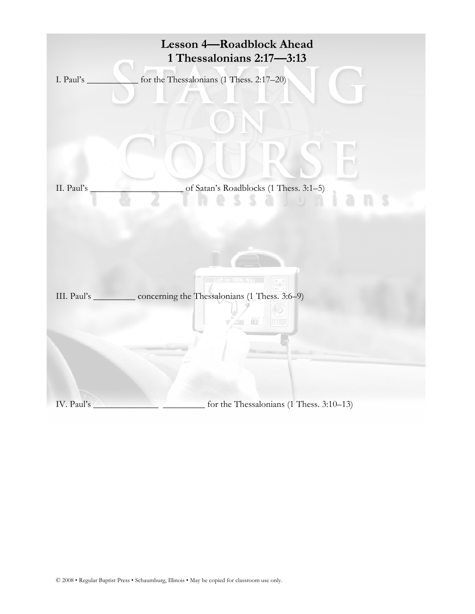|                | <b>Lesson 4-Roadblock Ahead</b><br>1 Thessalonians 2:17-3:13                                                     |
|----------------|------------------------------------------------------------------------------------------------------------------|
| I. Paul's $\_$ | for the Thessalonians (1 Thess. 2:17-20)                                                                         |
| II. Paul's     | of Satan's Roadblocks (1 Thess. 3:1-5)<br>$\sum_{i=1}^{\infty}$<br>$\begin{array}{c} \hline \end{array}$<br>S    |
|                | Left on 140th Way<br>III. Paul's ___________ concerning the Thessalonians (1 Thess. 3:6-9)<br>80.<br>----------- |
| IV. Paul's     | for the Thessalonians (1 Thess. 3:10-13)                                                                         |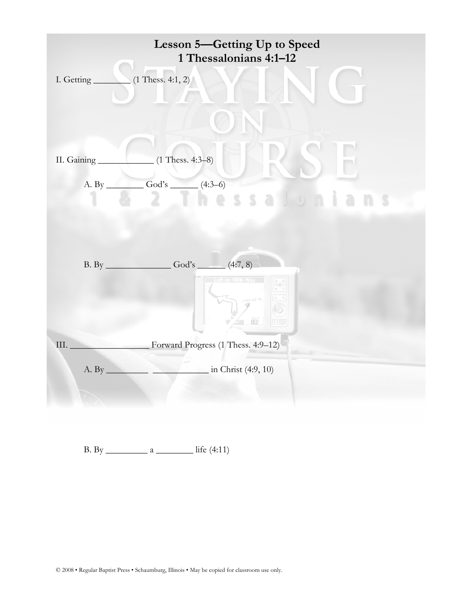

B. By \_\_\_\_\_\_\_\_\_ a \_\_\_\_\_\_\_\_ life (4:11)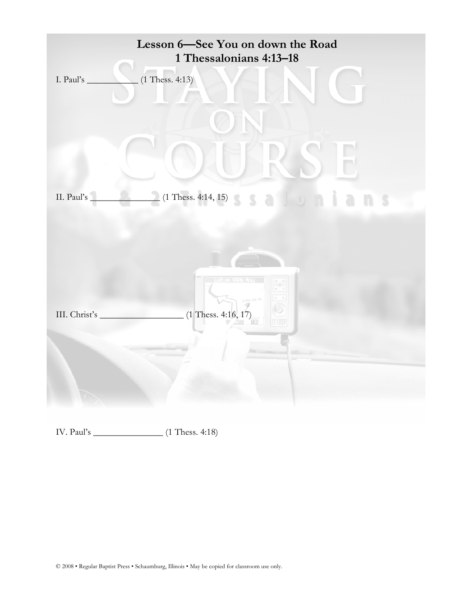

IV. Paul's \_\_\_\_\_\_\_\_\_\_\_\_\_\_\_ (1 Thess. 4:18)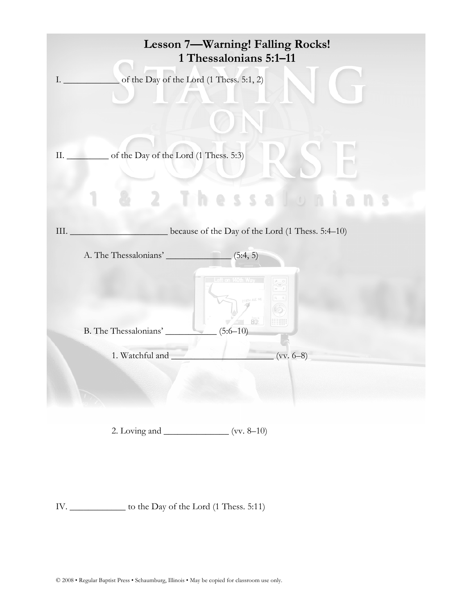| Lesson 7-Warning! Falling Rocks!<br>1 Thessalonians 5:1-11 |                                                                       |  |  |  |  |  |
|------------------------------------------------------------|-----------------------------------------------------------------------|--|--|--|--|--|
|                                                            | of the Day of the Lord (1 Thess. 5:1, 2)<br>$\mathbf{L} = \mathbf{L}$ |  |  |  |  |  |
|                                                            | II. ___________ of the Day of the Lord (1 Thess. 5:3)                 |  |  |  |  |  |
|                                                            | S S a                                                                 |  |  |  |  |  |
|                                                            | because of the Day of the Lord (1 Thess. 5:4-10)<br>III.              |  |  |  |  |  |
|                                                            | A. The Thessalonians'<br>(5:4, 5)                                     |  |  |  |  |  |
|                                                            | Left on 140th Way<br>218TH AVE NE<br>80:                              |  |  |  |  |  |
|                                                            | B. The Thessalonians' $(5:6-10)$                                      |  |  |  |  |  |
|                                                            | $(vv. 6-8)$<br>1. Watchful and                                        |  |  |  |  |  |
|                                                            | 2. Loving and _________________ (vv. 8–10)                            |  |  |  |  |  |

IV. \_\_\_\_\_\_\_\_\_\_\_\_ to the Day of the Lord (1 Thess. 5:11)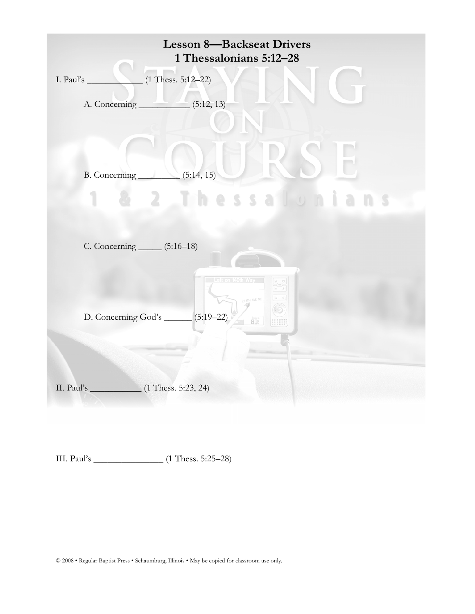| <b>Lesson 8-Backseat Drivers</b><br>1 Thessalonians 5:12-28                                         |
|-----------------------------------------------------------------------------------------------------|
| $(1 \text{ Thesis. } 5:12-22)$<br>I. Paul's                                                         |
|                                                                                                     |
| B. Concerning $(5:14, 15)$<br>$2 \pm 1$<br>hessalunian                                              |
| C. Concerning ______ (5:16–18)                                                                      |
| Left on 140th Way<br><b>18TH AVE NE</b><br>D. Concerning God's ______ (5:19-22)<br>80.<br>::::::::: |
|                                                                                                     |

III. Paul's \_\_\_\_\_\_\_\_\_\_\_\_\_\_\_ (1 Thess. 5:25–28)

© 2008 • Regular Baptist Press • Schaumburg, Illinois • May be copied for classroom use only.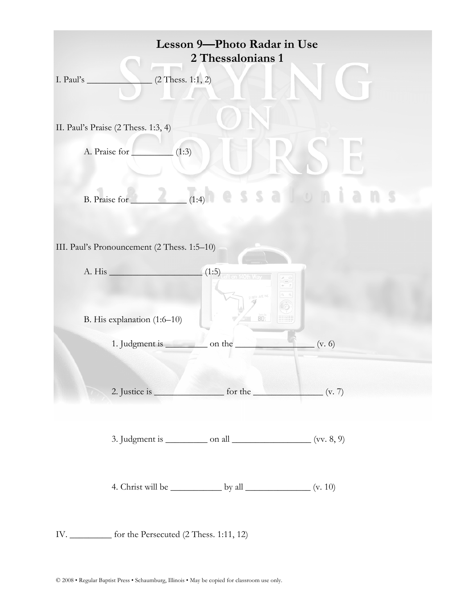| Lesson 9-Photo Radar in Use<br>2 Thessalonians 1                 |  |  |  |  |  |
|------------------------------------------------------------------|--|--|--|--|--|
| $(2$ Thess. 1:1, 2)<br>I. Paul's $\_\$                           |  |  |  |  |  |
| II. Paul's Praise (2 Thess. 1:3, 4)                              |  |  |  |  |  |
| A. Praise for<br>(1:3)                                           |  |  |  |  |  |
| salo<br>(1:4)<br>B. Praise for                                   |  |  |  |  |  |
| III. Paul's Pronouncement (2 Thess. 1:5-10)                      |  |  |  |  |  |
| A. His $(1:5)$                                                   |  |  |  |  |  |
| 80:<br>B. His explanation (1:6-10)                               |  |  |  |  |  |
| 1. Judgment is<br>on the<br>(v. 6)                               |  |  |  |  |  |
| 2. Justice is $\frac{1}{2}$ for the $\frac{1}{2}$ (v. 7)         |  |  |  |  |  |
| 3. Judgment is $\_\_\_\_\_$ on all $\_\_\_\_\_\_\_\_$ (vv. 8, 9) |  |  |  |  |  |
| 4. Christ will be $\_\_\_\_\_$ by all $\_\_\_\_\_\_\_$ (v. 10)   |  |  |  |  |  |
| IV.<br>for the Persecuted (2 Thess. 1:11, 12)                    |  |  |  |  |  |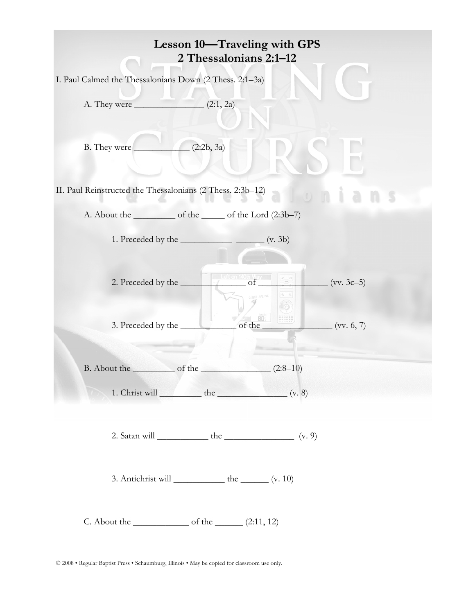| Lesson 10—Traveling with GPS<br>2 Thessalonians 2:1-12                   |  |  |  |  |  |
|--------------------------------------------------------------------------|--|--|--|--|--|
| I. Paul Calmed the Thessalonians Down (2 Thess. 2:1-3a)                  |  |  |  |  |  |
|                                                                          |  |  |  |  |  |
| (2:2b, 3a)<br>B. They were                                               |  |  |  |  |  |
| II. Paul Reinstructed the Thessalonians (2 Thess. 2:3b-12)               |  |  |  |  |  |
|                                                                          |  |  |  |  |  |
|                                                                          |  |  |  |  |  |
| 2. Preceded by the<br>- 80<br>3. Preceded by the<br>(vv. 6, 7)<br>of the |  |  |  |  |  |
| $(2:8-10)$<br>1. Christ will $\_\_\_\_\$ the $\_\_\_\_\$ (v. 8)          |  |  |  |  |  |
|                                                                          |  |  |  |  |  |
| 3. Antichrist will $\_\_\_\_\_\_\$ the $\_\_\_\_\$ r(v. 10)              |  |  |  |  |  |
| C. About the $\_\_\_\_\_$ of the $\_\_\_\_$ (2:11, 12)                   |  |  |  |  |  |

 $\copyright$  2008 • Regular Baptist Press • Schaumburg, Illinois • May be copied for classroom use only.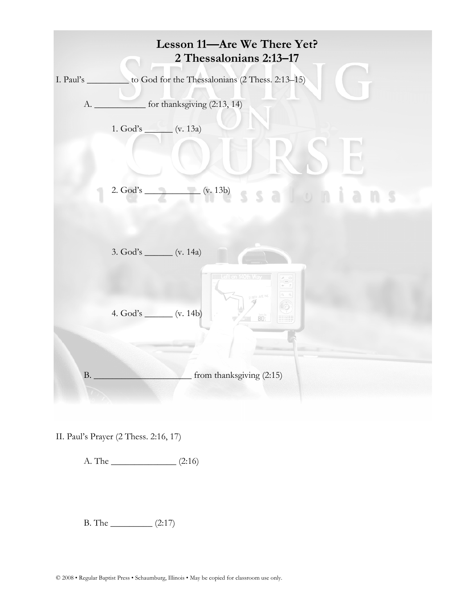

II. Paul's Prayer (2 Thess. 2:16, 17)

A. The \_\_\_\_\_\_\_\_\_\_\_\_\_\_ (2:16)

 $B. The ________ (2:17)$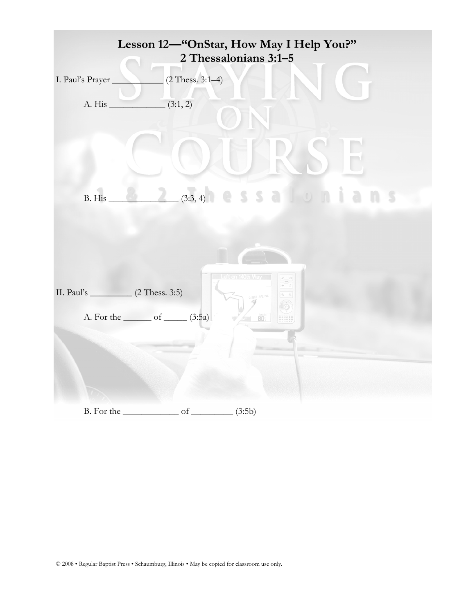|                                       | Lesson 12-"OnStar, How May I Help You?"     | 2 Thessalonians 3:1-5 |    |    |
|---------------------------------------|---------------------------------------------|-----------------------|----|----|
| I. Paul's Prayer                      | $(2$ Thess. 3:1-4)                          |                       |    |    |
| A. His                                | (3:1, 2)                                    |                       |    |    |
|                                       |                                             |                       |    |    |
| B. His                                | (3:3, 4)                                    | essalon               | -n | -5 |
|                                       |                                             | Left on 140th Way     |    |    |
| II. Paul's $(2 \text{ Thesis. } 3:5)$ |                                             | <b>BTH AVE NE</b>     |    |    |
|                                       | A. For the <u>contact of contact</u> (3:5a) | 80.                   |    |    |
|                                       |                                             |                       |    |    |
| B. For the                            | of.                                         | (3:5b)                |    |    |